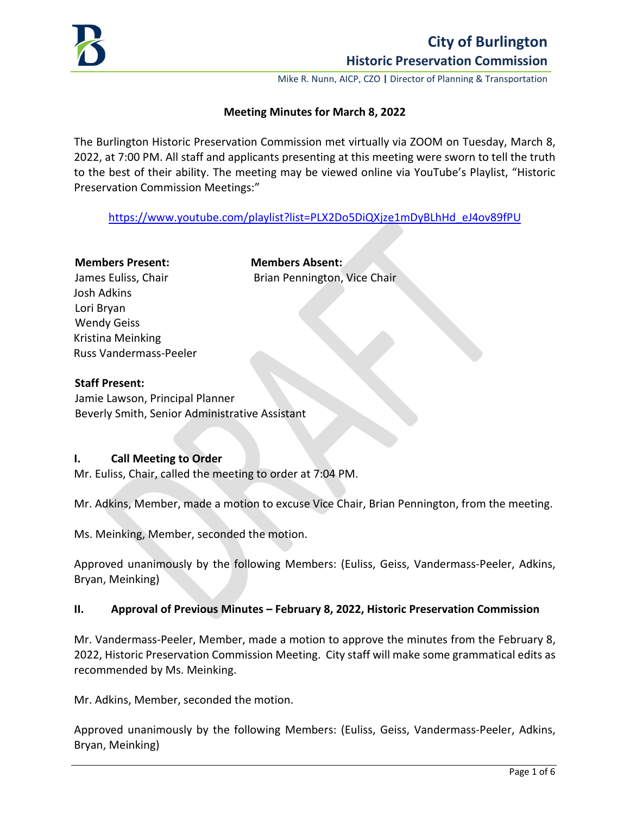

Mike R. Nunn, AICP, CZO **|** Director of Planning & Transportation

### **Meeting Minutes for March 8, 2022**

The Burlington Historic Preservation Commission met virtually via ZOOM on Tuesday, March 8, 2022, at 7:00 PM. All staff and applicants presenting at this meeting were sworn to tell the truth to the best of their ability. The meeting may be viewed online via YouTube's Playlist, "Historic Preservation Commission Meetings:"

[https://www.youtube.com/playlist?list=PLX2Do5DiQXjze1mDyBLhHd\\_eJ4ov89fPU](https://www.youtube.com/playlist?list=PLX2Do5DiQXjze1mDyBLhHd_eJ4ov89fPU) 

# **Members Present: Members Absent:** James Euliss, Chair **Brian Pennington, Vice Chair** Josh Adkins Lori Bryan Wendy Geiss Kristina Meinking Russ Vandermass-Peeler

### **Staff Present:**

Jamie Lawson, Principal Planner Beverly Smith, Senior Administrative Assistant

#### **I. Call Meeting to Order**

Mr. Euliss, Chair, called the meeting to order at 7:04 PM.

Mr. Adkins, Member, made a motion to excuse Vice Chair, Brian Pennington, from the meeting.

Ms. Meinking, Member, seconded the motion.

Approved unanimously by the following Members: (Euliss, Geiss, Vandermass-Peeler, Adkins, Bryan, Meinking)

### **II. Approval of Previous Minutes – February 8, 2022, Historic Preservation Commission**

Mr. Vandermass-Peeler, Member, made a motion to approve the minutes from the February 8, 2022, Historic Preservation Commission Meeting. City staff will make some grammatical edits as recommended by Ms. Meinking.

Mr. Adkins, Member, seconded the motion.

Approved unanimously by the following Members: (Euliss, Geiss, Vandermass-Peeler, Adkins, Bryan, Meinking)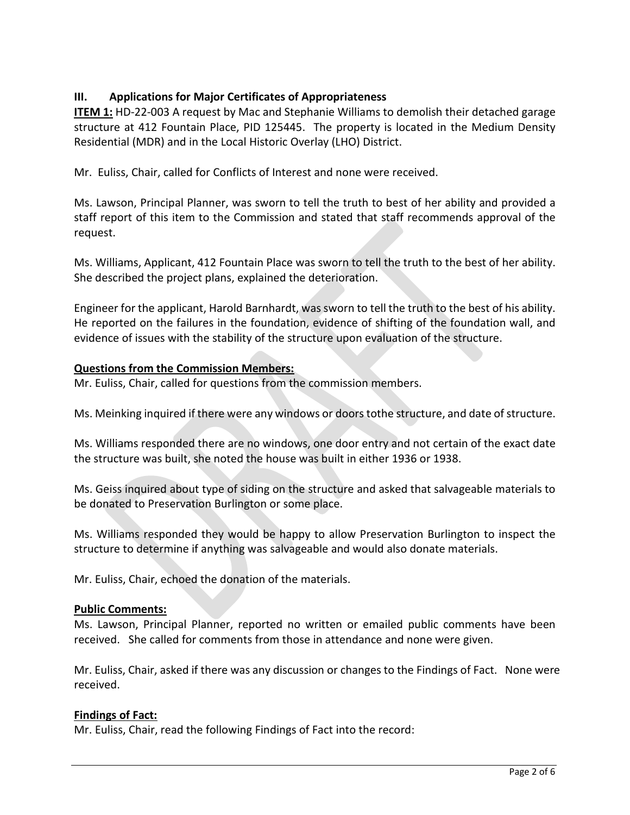# **III. Applications for Major Certificates of Appropriateness**

**ITEM 1:** HD-22-003 A request by Mac and Stephanie Williams to demolish their detached garage structure at 412 Fountain Place, PID 125445. The property is located in the Medium Density Residential (MDR) and in the Local Historic Overlay (LHO) District.

Mr. Euliss, Chair, called for Conflicts of Interest and none were received.

Ms. Lawson, Principal Planner, was sworn to tell the truth to best of her ability and provided a staff report of this item to the Commission and stated that staff recommends approval of the request.

Ms. Williams, Applicant, 412 Fountain Place was sworn to tell the truth to the best of her ability. She described the project plans, explained the deterioration.

Engineer for the applicant, Harold Barnhardt, was sworn to tell the truth to the best of his ability. He reported on the failures in the foundation, evidence of shifting of the foundation wall, and evidence of issues with the stability of the structure upon evaluation of the structure.

# **Questions from the Commission Members:**

Mr. Euliss, Chair, called for questions from the commission members.

Ms. Meinking inquired if there were any windows or doorstothe structure, and date of structure.

Ms. Williams responded there are no windows, one door entry and not certain of the exact date the structure was built, she noted the house was built in either 1936 or 1938.

Ms. Geiss inquired about type of siding on the structure and asked that salvageable materials to be donated to Preservation Burlington or some place.

Ms. Williams responded they would be happy to allow Preservation Burlington to inspect the structure to determine if anything was salvageable and would also donate materials.

Mr. Euliss, Chair, echoed the donation of the materials.

### **Public Comments:**

Ms. Lawson, Principal Planner, reported no written or emailed public comments have been received. She called for comments from those in attendance and none were given.

Mr. Euliss, Chair, asked if there was any discussion or changes to the Findings of Fact. None were received.

### **Findings of Fact:**

Mr. Euliss, Chair, read the following Findings of Fact into the record: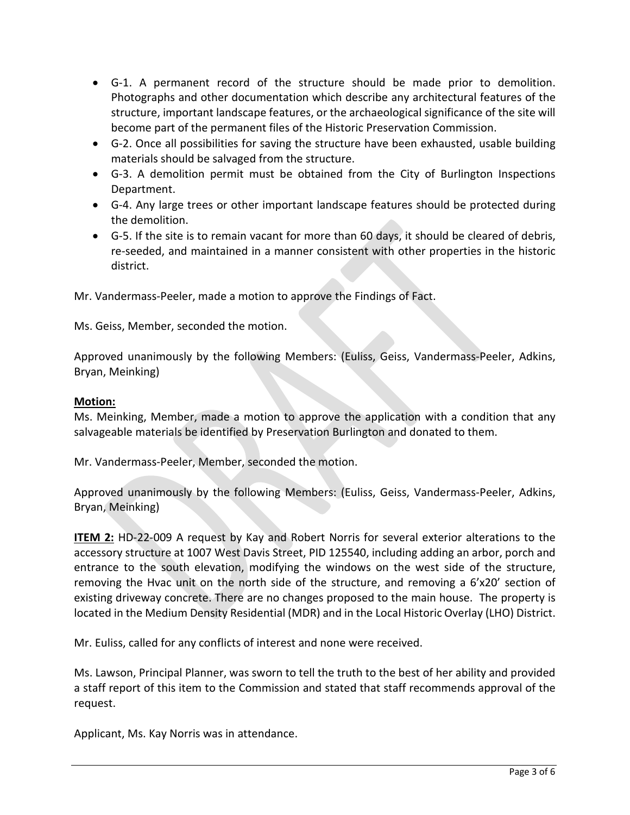- G-1. A permanent record of the structure should be made prior to demolition. Photographs and other documentation which describe any architectural features of the structure, important landscape features, or the archaeological significance of the site will become part of the permanent files of the Historic Preservation Commission.
- G-2. Once all possibilities for saving the structure have been exhausted, usable building materials should be salvaged from the structure.
- G-3. A demolition permit must be obtained from the City of Burlington Inspections Department.
- G-4. Any large trees or other important landscape features should be protected during the demolition.
- G-5. If the site is to remain vacant for more than 60 days, it should be cleared of debris, re-seeded, and maintained in a manner consistent with other properties in the historic district.

Mr. Vandermass-Peeler, made a motion to approve the Findings of Fact.

Ms. Geiss, Member, seconded the motion.

Approved unanimously by the following Members: (Euliss, Geiss, Vandermass-Peeler, Adkins, Bryan, Meinking)

### **Motion:**

Ms. Meinking, Member, made a motion to approve the application with a condition that any salvageable materials be identified by Preservation Burlington and donated to them.

Mr. Vandermass-Peeler, Member, seconded the motion.

Approved unanimously by the following Members: (Euliss, Geiss, Vandermass-Peeler, Adkins, Bryan, Meinking)

**ITEM 2:** HD-22-009 A request by Kay and Robert Norris for several exterior alterations to the accessory structure at 1007 West Davis Street, PID 125540, including adding an arbor, porch and entrance to the south elevation, modifying the windows on the west side of the structure, removing the Hvac unit on the north side of the structure, and removing a 6'x20' section of existing driveway concrete. There are no changes proposed to the main house. The property is located in the Medium Density Residential (MDR) and in the Local Historic Overlay (LHO) District.

Mr. Euliss, called for any conflicts of interest and none were received.

Ms. Lawson, Principal Planner, was sworn to tell the truth to the best of her ability and provided a staff report of this item to the Commission and stated that staff recommends approval of the request.

Applicant, Ms. Kay Norris was in attendance.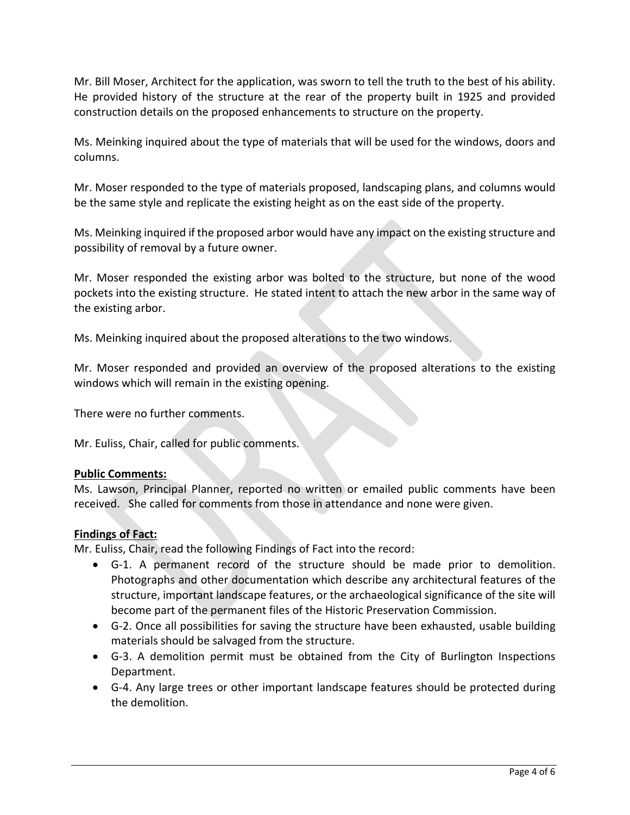Mr. Bill Moser, Architect for the application, was sworn to tell the truth to the best of his ability. He provided history of the structure at the rear of the property built in 1925 and provided construction details on the proposed enhancements to structure on the property.

Ms. Meinking inquired about the type of materials that will be used for the windows, doors and columns.

Mr. Moser responded to the type of materials proposed, landscaping plans, and columns would be the same style and replicate the existing height as on the east side of the property.

Ms. Meinking inquired if the proposed arbor would have any impact on the existing structure and possibility of removal by a future owner.

Mr. Moser responded the existing arbor was bolted to the structure, but none of the wood pockets into the existing structure. He stated intent to attach the new arbor in the same way of the existing arbor.

Ms. Meinking inquired about the proposed alterations to the two windows.

Mr. Moser responded and provided an overview of the proposed alterations to the existing windows which will remain in the existing opening.

There were no further comments.

Mr. Euliss, Chair, called for public comments.

### **Public Comments:**

Ms. Lawson, Principal Planner, reported no written or emailed public comments have been received. She called for comments from those in attendance and none were given.

### **Findings of Fact:**

Mr. Euliss, Chair, read the following Findings of Fact into the record:

- G-1. A permanent record of the structure should be made prior to demolition. Photographs and other documentation which describe any architectural features of the structure, important landscape features, or the archaeological significance of the site will become part of the permanent files of the Historic Preservation Commission.
- G-2. Once all possibilities for saving the structure have been exhausted, usable building materials should be salvaged from the structure.
- G-3. A demolition permit must be obtained from the City of Burlington Inspections Department.
- G-4. Any large trees or other important landscape features should be protected during the demolition.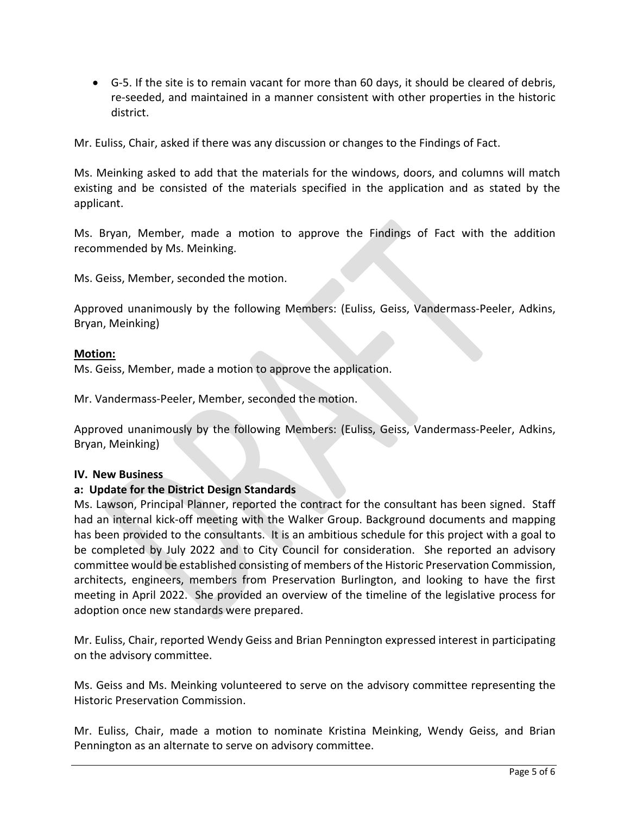• G-5. If the site is to remain vacant for more than 60 days, it should be cleared of debris, re-seeded, and maintained in a manner consistent with other properties in the historic district.

Mr. Euliss, Chair, asked if there was any discussion or changes to the Findings of Fact.

Ms. Meinking asked to add that the materials for the windows, doors, and columns will match existing and be consisted of the materials specified in the application and as stated by the applicant.

Ms. Bryan, Member, made a motion to approve the Findings of Fact with the addition recommended by Ms. Meinking.

Ms. Geiss, Member, seconded the motion.

Approved unanimously by the following Members: (Euliss, Geiss, Vandermass-Peeler, Adkins, Bryan, Meinking)

#### **Motion:**

Ms. Geiss, Member, made a motion to approve the application.

Mr. Vandermass-Peeler, Member, seconded the motion.

Approved unanimously by the following Members: (Euliss, Geiss, Vandermass-Peeler, Adkins, Bryan, Meinking)

#### **IV. New Business**

#### **a: Update for the District Design Standards**

Ms. Lawson, Principal Planner, reported the contract for the consultant has been signed. Staff had an internal kick-off meeting with the Walker Group. Background documents and mapping has been provided to the consultants. It is an ambitious schedule for this project with a goal to be completed by July 2022 and to City Council for consideration. She reported an advisory committee would be established consisting of members of the Historic Preservation Commission, architects, engineers, members from Preservation Burlington, and looking to have the first meeting in April 2022. She provided an overview of the timeline of the legislative process for adoption once new standards were prepared.

Mr. Euliss, Chair, reported Wendy Geiss and Brian Pennington expressed interest in participating on the advisory committee.

Ms. Geiss and Ms. Meinking volunteered to serve on the advisory committee representing the Historic Preservation Commission.

Mr. Euliss, Chair, made a motion to nominate Kristina Meinking, Wendy Geiss, and Brian Pennington as an alternate to serve on advisory committee.